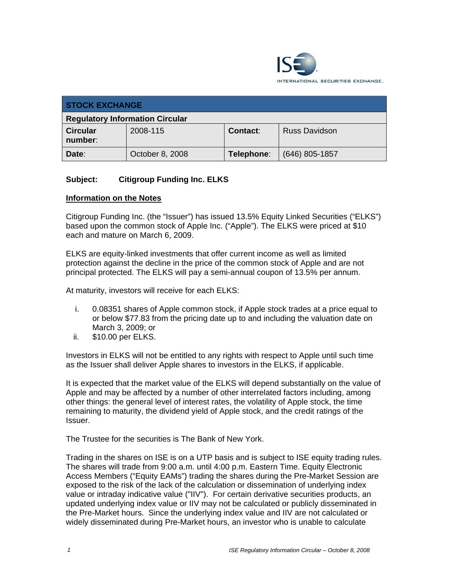

| <b>STOCK EXCHANGE</b>                  |                 |                 |                      |
|----------------------------------------|-----------------|-----------------|----------------------|
| <b>Regulatory Information Circular</b> |                 |                 |                      |
| <b>Circular</b><br>number:             | 2008-115        | <b>Contact:</b> | <b>Russ Davidson</b> |
| Date:                                  | October 8, 2008 | Telephone:      | $(646)$ 805-1857     |

# **Subject: Citigroup Funding Inc. ELKS**

### **Information on the Notes**

Citigroup Funding Inc. (the "Issuer") has issued 13.5% Equity Linked Securities ("ELKS") based upon the common stock of Apple Inc. ("Apple"). The ELKS were priced at \$10 each and mature on March 6, 2009.

ELKS are equity-linked investments that offer current income as well as limited protection against the decline in the price of the common stock of Apple and are not principal protected. The ELKS will pay a semi-annual coupon of 13.5% per annum.

At maturity, investors will receive for each ELKS:

- i. 0.08351 shares of Apple common stock, if Apple stock trades at a price equal to or below \$77.83 from the pricing date up to and including the valuation date on March 3, 2009; or
- ii. \$10.00 per ELKS.

Investors in ELKS will not be entitled to any rights with respect to Apple until such time as the Issuer shall deliver Apple shares to investors in the ELKS, if applicable.

It is expected that the market value of the ELKS will depend substantially on the value of Apple and may be affected by a number of other interrelated factors including, among other things: the general level of interest rates, the volatility of Apple stock, the time remaining to maturity, the dividend yield of Apple stock, and the credit ratings of the Issuer.

The Trustee for the securities is The Bank of New York.

Trading in the shares on ISE is on a UTP basis and is subject to ISE equity trading rules. The shares will trade from 9:00 a.m. until 4:00 p.m. Eastern Time. Equity Electronic Access Members ("Equity EAMs") trading the shares during the Pre-Market Session are exposed to the risk of the lack of the calculation or dissemination of underlying index value or intraday indicative value ("IIV"). For certain derivative securities products, an updated underlying index value or IIV may not be calculated or publicly disseminated in the Pre-Market hours. Since the underlying index value and IIV are not calculated or widely disseminated during Pre-Market hours, an investor who is unable to calculate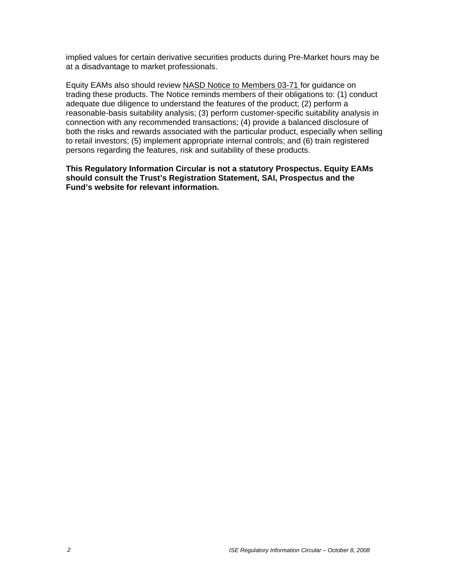implied values for certain derivative securities products during Pre-Market hours may be at a disadvantage to market professionals.

Equity EAMs also should review NASD Notice to Members 03-71 for guidance on trading these products. The Notice reminds members of their obligations to: (1) conduct adequate due diligence to understand the features of the product; (2) perform a reasonable-basis suitability analysis; (3) perform customer-specific suitability analysis in connection with any recommended transactions; (4) provide a balanced disclosure of both the risks and rewards associated with the particular product, especially when selling to retail investors; (5) implement appropriate internal controls; and (6) train registered persons regarding the features, risk and suitability of these products.

**This Regulatory Information Circular is not a statutory Prospectus. Equity EAMs should consult the Trust's Registration Statement, SAI, Prospectus and the Fund's website for relevant information.**